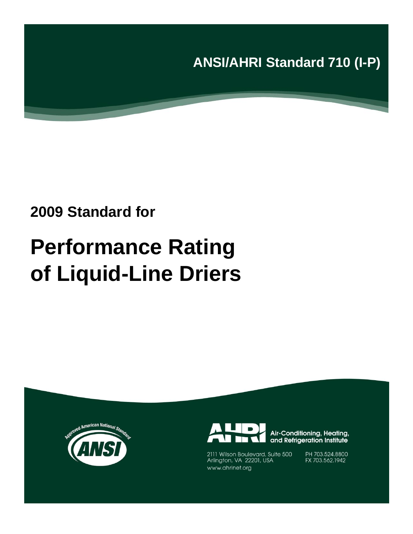**ANSI/AHRI Standard 710 (I-P)**

# **2009 Standard for**

# **Performance Rating of Liquid-Line Driers**





Air-Conditioning, Heating, and Refrigeration Institute

2111 Wilson Boulevard, Suite 500 Arlington, VA 22201, USA www.ahrinet.org

PH 703.524.8800 FX 703.562.1942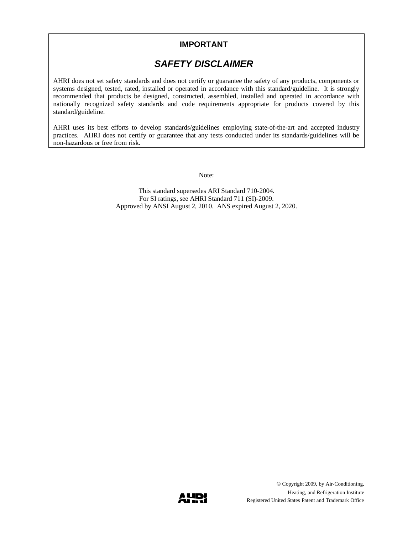### **IMPORTANT**

## *SAFETY DISCLAIMER*

AHRI does not set safety standards and does not certify or guarantee the safety of any products, components or systems designed, tested, rated, installed or operated in accordance with this standard/guideline. It is strongly recommended that products be designed, constructed, assembled, installed and operated in accordance with nationally recognized safety standards and code requirements appropriate for products covered by this standard/guideline.

AHRI uses its best efforts to develop standards/guidelines employing state-of-the-art and accepted industry practices. AHRI does not certify or guarantee that any tests conducted under its standards/guidelines will be non-hazardous or free from risk.

Note:

This standard supersedes ARI Standard 710-2004. For SI ratings, see AHRI Standard 711 (SI)-2009. Approved by ANSI August 2, 2010. ANS expired August 2, 2020.

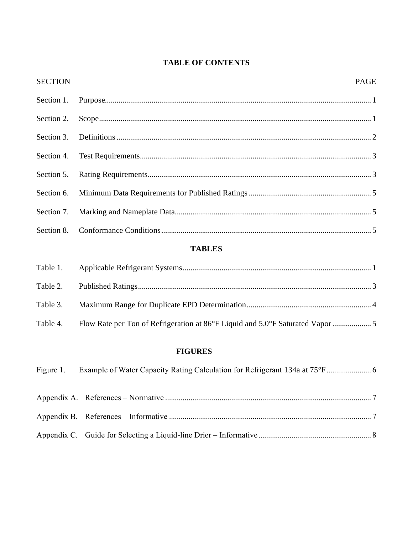## **TABLE OF CONTENTS**

| <b>SECTION</b> | <b>PAGE</b> |
|----------------|-------------|
|                |             |
|                |             |
|                |             |
|                |             |
|                |             |
|                |             |
|                |             |
|                |             |

## **TABLES**

| Table 4. | Flow Rate per Ton of Refrigeration at 86°F Liquid and 5.0°F Saturated Vapor |  |
|----------|-----------------------------------------------------------------------------|--|

## **FIGURES**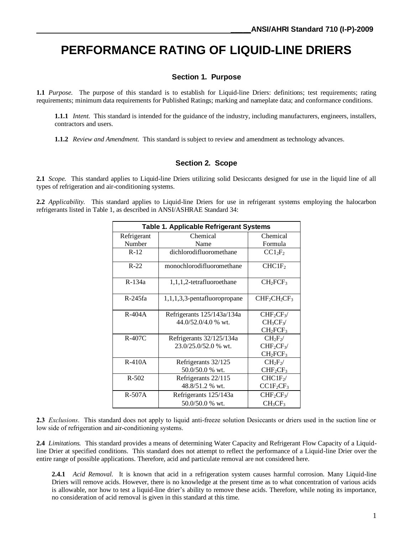# **PERFORMANCE RATING OF LIQUID-LINE DRIERS**

#### **Section 1. Purpose**

**1.1** *Purpose.* The purpose of this standard is to establish for Liquid-line Driers: definitions; test requirements; rating requirements; minimum data requirements for Published Ratings; marking and nameplate data; and conformance conditions.

**1.1.1** *Intent.* This standard is intended for the guidance of the industry, including manufacturers, engineers, installers, contractors and users.

**1.1.2** *Review and Amendment.* This standard is subject to review and amendment as technology advances.

#### **Section 2. Scope**

**2.1** *Scope.* This standard applies to Liquid-line Driers utilizing solid Desiccants designed for use in the liquid line of all types of refrigeration and air-conditioning systems.

**2.2** *Applicability.* This standard applies to Liquid-line Driers for use in refrigerant systems employing the halocarbon refrigerants listed in Table 1, as described in ANSI/ASHRAE Standard 34:

| <b>Table 1. Applicable Refrigerant Systems</b> |                                                          |                                   |  |  |
|------------------------------------------------|----------------------------------------------------------|-----------------------------------|--|--|
| Refrigerant                                    | Chemical                                                 | Chemical                          |  |  |
| Number                                         | Name                                                     | Formula                           |  |  |
| $R-12$                                         | dichlorodifluoromethane                                  | $CC1_2F_2$                        |  |  |
| $R-22$                                         | monochlorodifluoromethane                                | CHCIF <sub>2</sub>                |  |  |
| R-134a                                         | 1,1,1,2-tetrafluoroethane                                |                                   |  |  |
| R-245fa                                        | 1,1,1,3,3-pentafluoropropane                             | $CHF_2CH_2CF_3$                   |  |  |
| $R-404A$                                       | Refrigerants 125/143a/134a                               | $CHF_2CF_3$                       |  |  |
|                                                | 44.0/52.0/4.0 % wt.<br>$CH_3CF_3$                        |                                   |  |  |
|                                                |                                                          | CH <sub>2</sub> FCF <sub>3</sub>  |  |  |
| $R-407C$                                       | Refrigerants 32/125/134a                                 | $CH2F2$ /                         |  |  |
|                                                | 23.0/25.0/52.0 % wt.<br>CHF <sub>2</sub> CF <sub>3</sub> |                                   |  |  |
|                                                |                                                          | $CH_2FCF_3$                       |  |  |
| $R-410A$                                       | Refrigerants 32/125                                      | $CH_2F_2$                         |  |  |
|                                                | 50.0/50.0 % wt.                                          | CHF <sub>2</sub> CF <sub>3</sub>  |  |  |
| $R - 502$                                      | Refrigerants 22/115                                      | CHCIF <sub>2</sub>                |  |  |
|                                                | 48.8/51.2 % wt.                                          | CCIF <sub>2</sub> CF <sub>3</sub> |  |  |
| $R-507A$                                       | Refrigerants 125/143a                                    | CHF <sub>2</sub> CF <sub>3</sub>  |  |  |
|                                                | 50.0/50.0 % wt.                                          | CH <sub>3</sub> CF <sub>3</sub>   |  |  |

**2.3** *Exclusions*. This standard does not apply to liquid anti-freeze solution Desiccants or driers used in the suction line or low side of refrigeration and air-conditioning systems.

**2.4** *Limitations.* This standard provides a means of determining Water Capacity and Refrigerant Flow Capacity of a Liquidline Drier at specified conditions. This standard does not attempt to reflect the performance of a Liquid-line Drier over the entire range of possible applications. Therefore, acid and particulate removal are not considered here.

**2.4.1** *Acid Removal.* It is known that acid in a refrigeration system causes harmful corrosion. Many Liquid-line Driers will remove acids. However, there is no knowledge at the present time as to what concentration of various acids is allowable, nor how to test a liquid-line drier's ability to remove these acids. Therefore, while noting its importance, no consideration of acid removal is given in this standard at this time.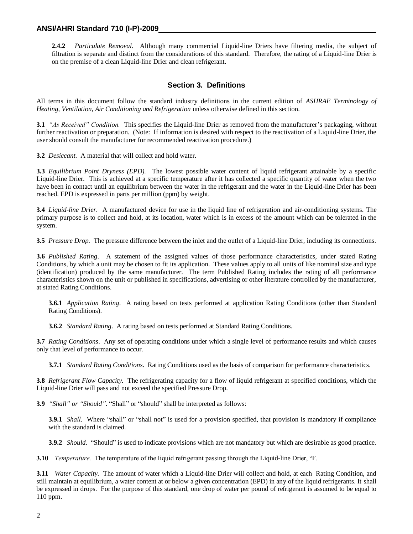**2.4.2** *Particulate Removal.* Although many commercial Liquid-line Driers have filtering media, the subject of filtration is separate and distinct from the considerations of this standard. Therefore, the rating of a Liquid-line Drier is on the premise of a clean Liquid-line Drier and clean refrigerant.

#### **Section 3. Definitions**

All terms in this document follow the standard industry definitions in the current edition of *ASHRAE Terminology of Heating, Ventilation, Air Conditioning and Refrigeration* unless otherwise defined in this section.

**3.1** *"As Received" Condition.* This specifies the Liquid-line Drier as removed from the manufacturer's packaging, without further reactivation or preparation. (Note: If information is desired with respect to the reactivation of a Liquid-line Drier, the user should consult the manufacturer for recommended reactivation procedure.)

**3.2** *Desiccant.* A material that will collect and hold water.

**3.3** *Equilibrium Point Dryness (EPD).* The lowest possible water content of liquid refrigerant attainable by a specific Liquid-line Drier. This is achieved at a specific temperature after it has collected a specific quantity of water when the two have been in contact until an equilibrium between the water in the refrigerant and the water in the Liquid-line Drier has been reached. EPD is expressed in parts per million (ppm) by weight.

**3.4** *Liquid-line Drier.* A manufactured device for use in the liquid line of refrigeration and air-conditioning systems. The primary purpose is to collect and hold, at its location, water which is in excess of the amount which can be tolerated in the system.

**3.5** *Pressure Drop.* The pressure difference between the inlet and the outlet of a Liquid-line Drier, including its connections.

**3.6** *Published Rating*. A statement of the assigned values of those performance characteristics, under stated Rating Conditions, by which a unit may be chosen to fit its application. These values apply to all units of like nominal size and type (identification) produced by the same manufacturer. The term Published Rating includes the rating of all performance characteristics shown on the unit or published in specifications, advertising or other literature controlled by the manufacturer, at stated Rating Conditions.

**3.6.1** *Application Rating*. A rating based on tests performed at application Rating Conditions (other than Standard Rating Conditions).

**3.6.2** *Standard Rating*. A rating based on tests performed at Standard Rating Conditions.

**3.7** *Rating Conditions*. Any set of operating conditions under which a single level of performance results and which causes only that level of performance to occur.

**3.7.1** *Standard Rating Conditions*. Rating Conditions used as the basis of comparison for performance characteristics.

**3.8** *Refrigerant Flow Capacity.* The refrigerating capacity for a flow of liquid refrigerant at specified conditions, which the Liquid-line Drier will pass and not exceed the specified Pressure Drop.

**3.9** *"Shall" or "Should".* "Shall" or "should" shall be interpreted as follows:

**3.9.1** *Shall.* Where "shall" or "shall not" is used for a provision specified, that provision is mandatory if compliance with the standard is claimed.

**3.9.2** *Should.* "Should" is used to indicate provisions which are not mandatory but which are desirable as good practice.

**3.10** *Temperature.* The temperature of the liquid refrigerant passing through the Liquid-line Drier, °F.

**3.11** *Water Capacity.* The amount of water which a Liquid-line Drier will collect and hold, at each Rating Condition, and still maintain at equilibrium, a water content at or below a given concentration (EPD) in any of the liquid refrigerants. It shall be expressed in drops. For the purpose of this standard, one drop of water per pound of refrigerant is assumed to be equal to 110 ppm.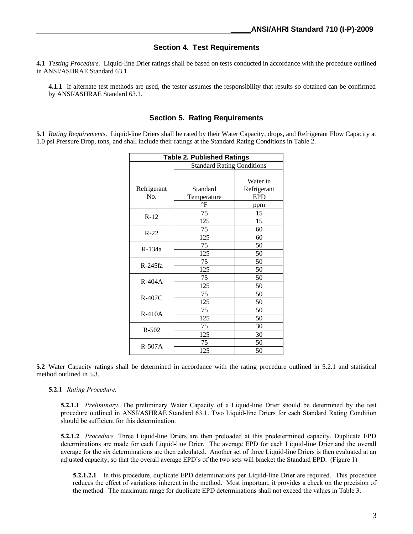#### **Section 4. Test Requirements**

**4.1** *Testing Procedure.* Liquid-line Drier ratings shall be based on tests conducted in accordance with the procedure outlined in ANSI/ASHRAE Standard 63.1.

**4.1.1** If alternate test methods are used, the tester assumes the responsibility that results so obtained can be confirmed by ANSI/ASHRAE Standard 63.1.

#### **Section 5. Rating Requirements**

**5.1** *Rating Requirements.* Liquid-line Driers shall be rated by their Water Capacity, drops, and Refrigerant Flow Capacity at 1.0 psi Pressure Drop, tons, and shall include their ratings at the Standard Rating Conditions in Table 2.

| <b>Table 2. Published Ratings</b> |             |             |  |
|-----------------------------------|-------------|-------------|--|
| <b>Standard Rating Conditions</b> |             |             |  |
|                                   |             |             |  |
|                                   |             | Water in    |  |
| Refrigerant                       | Standard    | Refrigerant |  |
| No.                               | Temperature | <b>EPD</b>  |  |
|                                   | °F          | ppm         |  |
| $R-12$                            | 75          | 15          |  |
|                                   | 125         | 15          |  |
| $R-22$                            | 75          | 60          |  |
|                                   | 125         | 60          |  |
| R-134a                            | 75          | 50          |  |
|                                   | 125         | 50          |  |
| $R-245fa$                         | 75          | 50          |  |
|                                   | 125         | 50          |  |
| $R-404A$                          | 75          | 50          |  |
|                                   | 125         | 50          |  |
| $R-407C$                          | 75          | 50          |  |
|                                   | 125         | 50          |  |
| $R-410A$                          | 75          | 50          |  |
|                                   | 125         | 50          |  |
| $R - 502$                         | 75          | 30          |  |
|                                   | 125         | 30          |  |
| $R-507A$                          | 75          | 50          |  |
|                                   | 125         | 50          |  |

**5.2** Water Capacity ratings shall be determined in accordance with the rating procedure outlined in 5.2.1 and statistical method outlined in 5.3.

#### **5.2.1** *Rating Procedure.*

**5.2.1.1** *Preliminary.* The preliminary Water Capacity of a Liquid-line Drier should be determined by the test procedure outlined in ANSI/ASHRAE Standard 63.1. Two Liquid-line Driers for each Standard Rating Condition should be sufficient for this determination.

**5.2.1.2** *Procedure.* Three Liquid-line Driers are then preloaded at this predetermined capacity. Duplicate EPD determinations are made for each Liquid-line Drier. The average EPD for each Liquid-line Drier and the overall average for the six determinations are then calculated. Another set of three Liquid-line Driers is then evaluated at an adjusted capacity, so that the overall average EPD's of the two sets will bracket the Standard EPD. (Figure 1)

**5.2.1.2.1** In this procedure, duplicate EPD determinations per Liquid-line Drier are required. This procedure reduces the effect of variations inherent in the method. Most important, it provides a check on the precision of the method. The maximum range for duplicate EPD determinations shall not exceed the values in Table 3.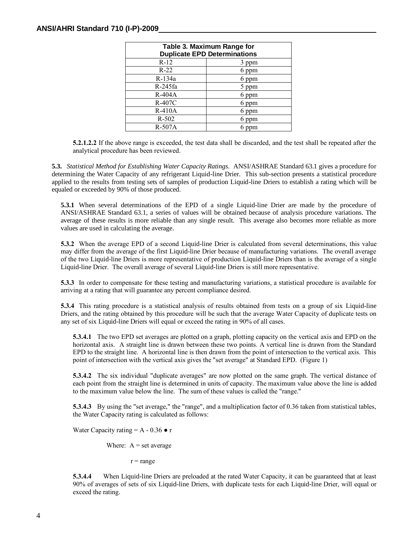| Table 3. Maximum Range for          |       |  |  |
|-------------------------------------|-------|--|--|
| <b>Duplicate EPD Determinations</b> |       |  |  |
| $R-12$                              | 3 ppm |  |  |
| $R-22$                              | 6 ppm |  |  |
| R-134a                              | 6 ppm |  |  |
| R-245fa                             | 5 ppm |  |  |
| $R-404A$                            | 6 ppm |  |  |
| R-407C                              | 6 ppm |  |  |
| $R-410A$                            | 6 ppm |  |  |
| $R - 502$                           | ppm   |  |  |
| $R-507A$                            | ppm   |  |  |

**5.2.1.2.2** If the above range is exceeded, the test data shall be discarded, and the test shall be repeated after the analytical procedure has been reviewed.

**5.3.** *Statistical Method for Establishing Water Capacity Ratings.* ANSI/ASHRAE Standard 63.1 gives a procedure for determining the Water Capacity of any refrigerant Liquid-line Drier. This sub-section presents a statistical procedure applied to the results from testing sets of samples of production Liquid-line Driers to establish a rating which will be equaled or exceeded by 90% of those produced.

**5.3.1** When several determinations of the EPD of a single Liquid-line Drier are made by the procedure of ANSI/ASHRAE Standard 63.1, a series of values will be obtained because of analysis procedure variations. The average of these results is more reliable than any single result. This average also becomes more reliable as more values are used in calculating the average.

**5.3.2** When the average EPD of a second Liquid-line Drier is calculated from several determinations, this value may differ from the average of the first Liquid-line Drier because of manufacturing variations. The overall average of the two Liquid-line Driers is more representative of production Liquid-line Driers than is the average of a single Liquid-line Drier. The overall average of several Liquid-line Driers is still more representative.

**5.3.3** In order to compensate for these testing and manufacturing variations, a statistical procedure is available for arriving at a rating that will guarantee any percent compliance desired.

**5.3.4** This rating procedure is a statistical analysis of results obtained from tests on a group of six Liquid-line Driers, and the rating obtained by this procedure will be such that the average Water Capacity of duplicate tests on any set of six Liquid-line Driers will equal or exceed the rating in 90% of all cases.

**5.3.4.1** The two EPD set averages are plotted on a graph, plotting capacity on the vertical axis and EPD on the horizontal axis. A straight line is drawn between these two points. A vertical line is drawn from the Standard EPD to the straight line. A horizontal line is then drawn from the point of intersection to the vertical axis. This point of intersection with the vertical axis gives the "set average" at Standard EPD. (Figure 1)

**5.3.4.2** The six individual "duplicate averages" are now plotted on the same graph. The vertical distance of each point from the straight line is determined in units of capacity. The maximum value above the line is added to the maximum value below the line. The sum of these values is called the "range."

**5.3.4.3** By using the "set average," the "range", and a multiplication factor of 0.36 taken from statistical tables, the Water Capacity rating is calculated as follows:

Water Capacity rating  $= A - 0.36 \cdot r$ 

Where:  $A = set average$ 

 $r = range$ 

**5.3.4.4** When Liquid-line Driers are preloaded at the rated Water Capacity, it can be guaranteed that at least 90% of averages of sets of six Liquid-line Driers, with duplicate tests for each Liquid-line Drier, will equal or exceed the rating.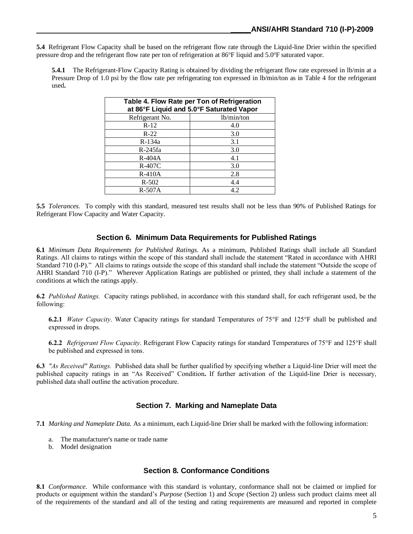**5.4** Refrigerant Flow Capacity shall be based on the refrigerant flow rate through the Liquid-line Drier within the specified pressure drop and the refrigerant flow rate per ton of refrigeration at 86°F liquid and 5.0°F saturated vapor.

**5.4.1** The Refrigerant-Flow Capacity Rating is obtained by dividing the refrigerant flow rate expressed in lb/min at a Pressure Drop of 1.0 psi by the flow rate per refrigerating ton expressed in lb/min/ton as in Table 4 for the refrigerant used**.**

| Table 4. Flow Rate per Ton of Refrigeration<br>at 86°F Liquid and 5.0°F Saturated Vapor |     |  |  |  |
|-----------------------------------------------------------------------------------------|-----|--|--|--|
| Refrigerant No.<br>lb/min/ton                                                           |     |  |  |  |
| $R-12$                                                                                  | 4.0 |  |  |  |
| $R-22$                                                                                  | 3.0 |  |  |  |
| R-134a                                                                                  | 3.1 |  |  |  |
| $R-245fa$                                                                               | 3.0 |  |  |  |
| $R-404A$                                                                                | 4.1 |  |  |  |
| $R-407C$                                                                                | 3.0 |  |  |  |
| $R-410A$                                                                                | 2.8 |  |  |  |
| $R-502$                                                                                 | 4.4 |  |  |  |
| $R-507A$                                                                                | 4.2 |  |  |  |

**5.5** *Tolerances.* To comply with this standard, measured test results shall not be less than 90% of Published Ratings for Refrigerant Flow Capacity and Water Capacity.

#### **Section 6. Minimum Data Requirements for Published Ratings**

**6.1** *Minimum Data Requirements for Published Ratings.* As a minimum, Published Ratings shall include all Standard Ratings. All claims to ratings within the scope of this standard shall include the statement "Rated in accordance with AHRI Standard 710 (I-P)." All claims to ratings outside the scope of this standard shall include the statement "Outside the scope of AHRI Standard 710 (I-P)." Wherever Application Ratings are published or printed, they shall include a statement of the conditions at which the ratings apply.

**6.2** *Published Ratings.* Capacity ratings published, in accordance with this standard shall, for each refrigerant used, be the following:

**6.2.1** *Water Capacity*. Water Capacity ratings for standard Temperatures of 75°F and 125°F shall be published and expressed in drops.

**6.2.2** *Refrigerant Flow Capacity*. Refrigerant Flow Capacity ratings for standard Temperatures of 75°F and 125°F shall be published and expressed in tons.

**6.3** *"As Received" Ratings.* Published data shall be further qualified by specifying whether a Liquid-line Drier will meet the published capacity ratings in an "As Received" Condition**.** If further activation of the Liquid-line Drier is necessary, published data shall outline the activation procedure.

#### **Section 7. Marking and Nameplate Data**

**7.1** *Marking and Nameplate Data.* As a minimum, each Liquid-line Drier shall be marked with the following information:

- The manufacturer's name or trade name
- b. Model designation

#### **Section 8. Conformance Conditions**

**8.1** *Conformance*. While conformance with this standard is voluntary, conformance shall not be claimed or implied for products or equipment within the standard's *Purpose* (Section 1) and *Scope* (Section 2) unless such product claims meet all of the requirements of the standard and all of the testing and rating requirements are measured and reported in complete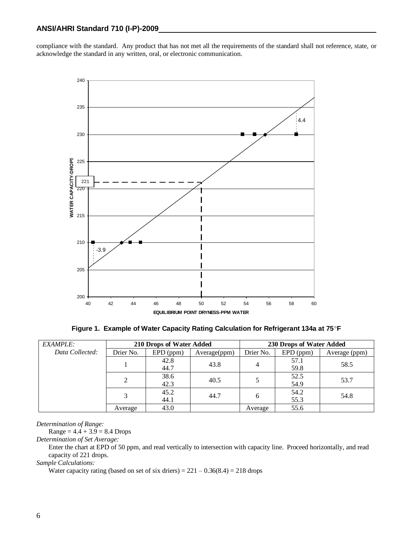compliance with the standard. Any product that has not met all the requirements of the standard shall not reference, state, or acknowledge the standard in any written, oral, or electronic communication.



**Figure 1. Example of Water Capacity Rating Calculation for Refrigerant 134a at 75**°**F** 

| <b>EXAMPLE:</b> | 210 Drops of Water Added |             |              | 230 Drops of Water Added |             |               |
|-----------------|--------------------------|-------------|--------------|--------------------------|-------------|---------------|
| Data Collected: | Drier No.                | $EPD$ (ppm) | Average(ppm) | Drier No.                | $EPD$ (ppm) | Average (ppm) |
|                 |                          | 42.8        | 43.8         | 4                        | 57.1        | 58.5          |
|                 |                          | 44.7        |              |                          | 59.8        |               |
|                 |                          | 38.6        | 40.5         |                          | 52.5        | 53.7          |
|                 |                          | 42.3        |              | 54.9                     |             |               |
|                 |                          | 45.2        | 44.7         | 6                        | 54.2        | 54.8          |
|                 | 44.1                     |             |              | 55.3                     |             |               |
|                 | Average                  | 43.0        |              | Average                  | 55.6        |               |

*Determination of Range:*

 $Range = 4.4 + 3.9 = 8.4$  Drops

*Determination of Set Average:*

Enter the chart at EPD of 50 ppm, and read vertically to intersection with capacity line. Proceed horizontally, and read capacity of 221 drops.

*Sample Calculations:*

Water capacity rating (based on set of six driers) =  $221 - 0.36(8.4) = 218$  drops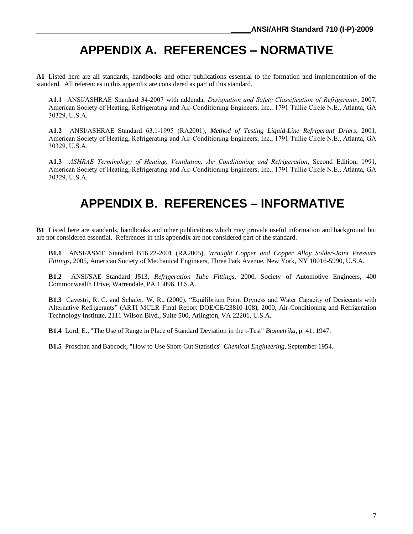# **APPENDIX A. REFERENCES – NORMATIVE**

**A1** Listed here are all standards, handbooks and other publications essential to the formation and implementation of the standard. All references in this appendix are considered as part of this standard.

**A1.1** ANSI/ASHRAE Standard 34-2007 with addenda, *Designation and Safety Classification of Refrigerants*, 2007, American Society of Heating, Refrigerating and Air-Conditioning Engineers, Inc., 1791 Tullie Circle N.E., Atlanta, GA 30329, U.S.A.

**A1.2** ANSI/ASHRAE Standard 63.1-1995 (RA2001), *Method of Testing Liquid-Line Refrigerant Driers*, 2001, American Society of Heating, Refrigerating and Air-Conditioning Engineers, Inc., 1791 Tullie Circle N.E., Atlanta, GA 30329, U.S.A.

**A1.3** *ASHRAE Terminology of Heating, Ventilation, Air Conditioning and Refrigeration*, Second Edition, 1991, American Society of Heating, Refrigerating and Air-Conditioning Engineers, Inc., 1791 Tullie Circle N.E., Atlanta, GA 30329, U.S.A.

## **APPENDIX B. REFERENCES – INFORMATIVE**

**B1** Listed here are standards, handbooks and other publications which may provide useful information and background but are not considered essential. References in this appendix are not considered part of the standard.

**B1.1** ANSI/ASME Standard B16.22-2001 (RA2005), *Wrought Copper and Copper Alloy Solder-Joint Pressure Fittings*, 2005, American Society of Mechanical Engineers, Three Park Avenue, New York, NY 10016-5990, U.S.A.

**B1.2** ANSI/SAE Standard J513, *Refrigeration Tube Fittings*, 2000, Society of Automotive Engineers, 400 Commonwealth Drive, Warrendale, PA 15096, U.S.A.

**B1.3** Cavestri, R. C. and Schafer, W. R., (2000). "Equilibrium Point Dryness and Water Capacity of Desiccants with Alternative Refrigerants" (ARTI MCLR Final Report DOE/CE/23810-108), 2000, Air-Conditioning and Refrigeration Technology Institute, 2111 Wilson Blvd., Suite 500, Arlington, VA 22201, U.S.A.

**B1.4** Lord, E., "The Use of Range in Place of Standard Deviation in the t-Test" *Biometrika*, p. 41, 1947.

**B1.5** Proschan and Babcock, "How to Use Short-Cut Statistics" *Chemical Engineering,* September 1954.